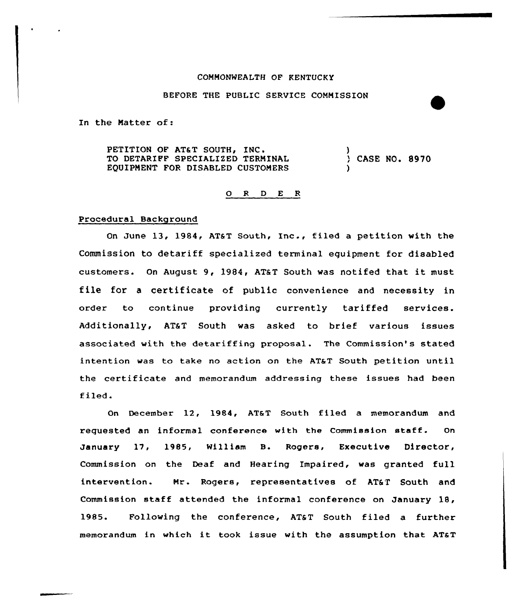## COMMONWEALTH CF KENTUCKY

#### BEFORE THE PUBLIC SERVICE COMMISSION

In the Matter of:

PETITION OF AT&T SOUTH, INC. TO DETARIFF SPECIALIZED TERMINAL EQUIPMENT FOR DISABLED CUSTOMERS ) )

CASE NO. 8970

## 0 <sup>R</sup> <sup>D</sup> E <sup>R</sup>

### Procedural Background

On June 13, 1984, AT&T South, Inc., filed <sup>a</sup> petition with the Commission to detariff specialized terminal equipment for disabled customers. On August 9, 1984, AT&T South was notifed that it must file for <sup>a</sup> certificate of public convenience and necessity in order to continue providing currently tariffed services. Additionally, AT&T South was asked to brief various issues associated with the detariffing proposal. The Commission's stated intention was to take no action on the AT&T South petition until the certificate and memorandum addressing these issues had been filed.

On December 12, 1984, AT&T South filed a memorandum and reguested an informal conference with the Commission staff. On January 17, 1985, William B. Rogers, Executive Director, Commission on the Deaf and Hearing Impaired, was granted full intervention. Mr. Rogers, representatives of AT&T South and Commission staff attended the informal conference on January 18, 1985. Following the conference, AT&T South filed a further memorandum in which it took issue with the assumption that AT&T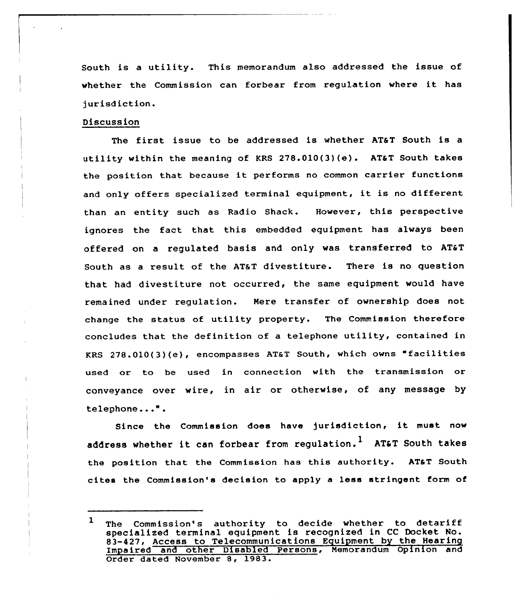South is <sup>a</sup> utility. This memorandum also addressed the issue of whether the Commission can forbear from regulation where it has jurisdiction.

# Discussion

The first issue to be addressed is whether AT&T South is a utility within the meaning of KRS  $278.010(3)(e)$ . AT&T South takes the position that because it performs no common carrier functions and only offers specialized terminal equipment, it is no different than an entity such as Radio Shack. However, this perspective ignores the fact that this embedded equipment has always been offered on a requlated basis and only was transferred to AT&T South as a result of the AT&T divestiture. There is no question that had divestiture not occurred, the same equipment would have remained under regulation. Here transfer of ownership does not change the status of utility property. The Commission therefore concludes that the definition of a telephone utility, contained in KRS 278.010(3)(e), encompasses AT&T South, which owns "facilities used or to be used in connection with the transmission or conveyance over wire, in air or otherwise, of any message by telephone...".

Since the Commission does have jurisdiction, it must now address whether it can forbear from regulation.<sup>1</sup> AT&T South takes the position that the Commission has this authority. AT&T South cites the Commission's decision to apply <sup>a</sup> less stringent form ot

 $\mathbf{1}$ The Commission's authority to decide whether to detariff specialized terminal equipment is recognized in CC Docket No. 83-427, Access to Telecommunications Equipment by the Hearing Impaired and other Disabled Persons, Hemorandum Opinion and Order dated November 8, 1983.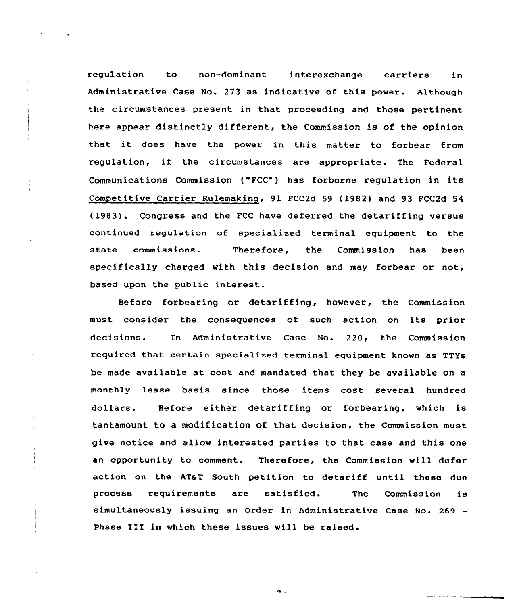regulation to non-dominant interexchange carriers in Administrative Case No. 273 as indicative of this power. Although the circumstances present in that proceeding and those pertinent here appear distinctly different, the Commission is of the opinion that it does have the power in this matter to forbear from regulation, if the circumstances are appropriate. The Federal Communications Commission ("FCC") has forborne regulation in its Competitive Carrier Rulemaking, 91 FCC2d 59 (1982) and 93 FCC2d 54 (1983). Congress and the FCC have deferred the detariffing versus continued regulation of specialized terminal equipment to the state commissions. Therefore, the Commission has been specifically charged with this decision and may forbear or not, based upon the public interest.

Before forbearing or detariffing, however, the Commission must consider the consequences of such action on its prior decisions. In Administrative Case No. 220, the Commission required that certain specialized terminal equipment known as TTYs be made available at cost and mandated that they be available on a monthly lease basis since those items cost several hundred dollars. Before either detariffing or forbearing, which is tantamount to a modification of that decision, the Commission must give notice and allow interested parties to that case and this one an opportunity to comment. Therefore, the Commission will defer action on the AT&T South petition to detariff until these due process requirements are satisfied. The Commission is simultaneously issuing an Order in Administrative Case No. 269 Phase III in which these issues will be raised.